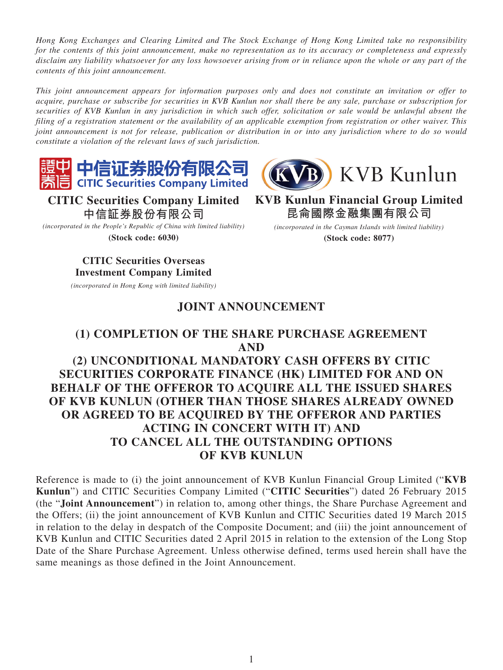*Hong Kong Exchanges and Clearing Limited and The Stock Exchange of Hong Kong Limited take no responsibility for the contents of this joint announcement, make no representation as to its accuracy or completeness and expressly disclaim any liability whatsoever for any loss howsoever arising from or in reliance upon the whole or any part of the contents of this joint announcement.*

*This joint announcement appears for information purposes only and does not constitute an invitation or offer to acquire, purchase or subscribe for securities in KVB Kunlun nor shall there be any sale, purchase or subscription for securities of KVB Kunlun in any jurisdiction in which such offer, solicitation or sale would be unlawful absent the filing of a registration statement or the availability of an applicable exemption from registration or other waiver. This joint announcement is not for release, publication or distribution in or into any jurisdiction where to do so would constitute a violation of the relevant laws of such jurisdiction.*





**KVB Kunlun Financial Group Limited 昆侖國際金融集團有限公司** *(incorporated in the Cayman Islands with limited liability)* **(Stock code: 8077)**

**CITIC Securities Company Limited 中信証券股份有限公司**

*(incorporated in the People's Republic of China with limited liability)* **(Stock code: 6030)**

## **CITIC Securities Overseas Investment Company Limited**

*(incorporated in Hong Kong with limited liability)*

## **JOINT ANNOUNCEMENT**

# **(1) COMPLETION OF THE SHARE PURCHASE AGREEMENT AND (2) UNCONDITIONAL MANDATORY CASH OFFERS BY CITIC SECURITIES CORPORATE FINANCE (HK) LIMITED FOR AND ON BEHALF OF THE OFFEROR TO ACQUIRE ALL THE ISSUED SHARES OF KVB KUNLUN (OTHER THAN THOSE SHARES ALREADY OWNED**

## **OR AGREED TO BE ACQUIRED BY THE OFFEROR AND PARTIES ACTING IN CONCERT WITH IT) AND TO CANCEL ALL THE OUTSTANDING OPTIONS OF KVB KUNLUN**

Reference is made to (i) the joint announcement of KVB Kunlun Financial Group Limited ("**KVB Kunlun**") and CITIC Securities Company Limited ("**CITIC Securities**") dated 26 February 2015 (the "**Joint Announcement**") in relation to, among other things, the Share Purchase Agreement and the Offers; (ii) the joint announcement of KVB Kunlun and CITIC Securities dated 19 March 2015 in relation to the delay in despatch of the Composite Document; and (iii) the joint announcement of KVB Kunlun and CITIC Securities dated 2 April 2015 in relation to the extension of the Long Stop Date of the Share Purchase Agreement. Unless otherwise defined, terms used herein shall have the same meanings as those defined in the Joint Announcement.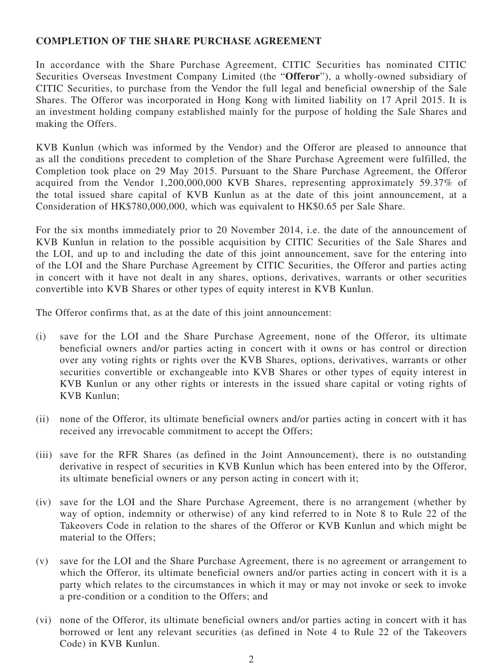### **COMPLETION OF THE SHARE PURCHASE AGREEMENT**

In accordance with the Share Purchase Agreement, CITIC Securities has nominated CITIC Securities Overseas Investment Company Limited (the "**Offeror**"), a wholly-owned subsidiary of CITIC Securities, to purchase from the Vendor the full legal and beneficial ownership of the Sale Shares. The Offeror was incorporated in Hong Kong with limited liability on 17 April 2015. It is an investment holding company established mainly for the purpose of holding the Sale Shares and making the Offers.

KVB Kunlun (which was informed by the Vendor) and the Offeror are pleased to announce that as all the conditions precedent to completion of the Share Purchase Agreement were fulfilled, the Completion took place on 29 May 2015. Pursuant to the Share Purchase Agreement, the Offeror acquired from the Vendor 1,200,000,000 KVB Shares, representing approximately 59.37% of the total issued share capital of KVB Kunlun as at the date of this joint announcement, at a Consideration of HK\$780,000,000, which was equivalent to HK\$0.65 per Sale Share.

For the six months immediately prior to 20 November 2014, i.e. the date of the announcement of KVB Kunlun in relation to the possible acquisition by CITIC Securities of the Sale Shares and the LOI, and up to and including the date of this joint announcement, save for the entering into of the LOI and the Share Purchase Agreement by CITIC Securities, the Offeror and parties acting in concert with it have not dealt in any shares, options, derivatives, warrants or other securities convertible into KVB Shares or other types of equity interest in KVB Kunlun.

The Offeror confirms that, as at the date of this joint announcement:

- (i) save for the LOI and the Share Purchase Agreement, none of the Offeror, its ultimate beneficial owners and/or parties acting in concert with it owns or has control or direction over any voting rights or rights over the KVB Shares, options, derivatives, warrants or other securities convertible or exchangeable into KVB Shares or other types of equity interest in KVB Kunlun or any other rights or interests in the issued share capital or voting rights of KVB Kunlun;
- (ii) none of the Offeror, its ultimate beneficial owners and/or parties acting in concert with it has received any irrevocable commitment to accept the Offers;
- (iii) save for the RFR Shares (as defined in the Joint Announcement), there is no outstanding derivative in respect of securities in KVB Kunlun which has been entered into by the Offeror, its ultimate beneficial owners or any person acting in concert with it;
- (iv) save for the LOI and the Share Purchase Agreement, there is no arrangement (whether by way of option, indemnity or otherwise) of any kind referred to in Note 8 to Rule 22 of the Takeovers Code in relation to the shares of the Offeror or KVB Kunlun and which might be material to the Offers;
- (v) save for the LOI and the Share Purchase Agreement, there is no agreement or arrangement to which the Offeror, its ultimate beneficial owners and/or parties acting in concert with it is a party which relates to the circumstances in which it may or may not invoke or seek to invoke a pre-condition or a condition to the Offers; and
- (vi) none of the Offeror, its ultimate beneficial owners and/or parties acting in concert with it has borrowed or lent any relevant securities (as defined in Note 4 to Rule 22 of the Takeovers Code) in KVB Kunlun.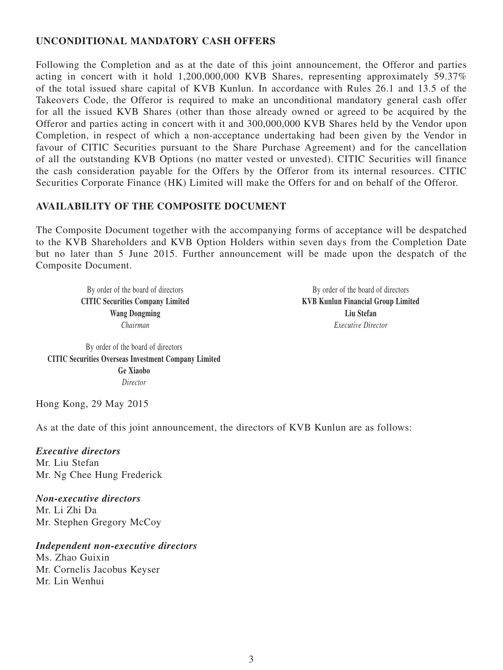### **UNCONDITIONAL MANDATORY CASH OFFERS**

Following the Completion and as at the date of this joint announcement, the Offeror and parties acting in concert with it hold 1,200,000,000 KVB Shares, representing approximately 59.37% of the total issued share capital of KVB Kunlun. In accordance with Rules 26.1 and 13.5 of the Takeovers Code, the Offeror is required to make an unconditional mandatory general cash offer for all the issued KVB Shares (other than those already owned or agreed to be acquired by the Offeror and parties acting in concert with it and 300,000,000 KVB Shares held by the Vendor upon Completion, in respect of which a non-acceptance undertaking had been given by the Vendor in favour of CITIC Securities pursuant to the Share Purchase Agreement) and for the cancellation of all the outstanding KVB Options (no matter vested or unvested). CITIC Securities will finance the cash consideration payable for the Offers by the Offeror from its internal resources. CITIC Securities Corporate Finance (HK) Limited will make the Offers for and on behalf of the Offeror.

#### **AVAILABILITY OF THE COMPOSITE DOCUMENT**

The Composite Document together with the accompanying forms of acceptance will be despatched to the KVB Shareholders and KVB Option Holders within seven days from the Completion Date but no later than 5 June 2015. Further announcement will be made upon the despatch of the Composite Document.

By order of the board of directors **CITIC Securities Company Limited Wang Dongming** *Chairman*

By order of the board of directors **KVB Kunlun Financial Group Limited Liu Stefan** *Executive Director*

By order of the board of directors **CITIC Securities Overseas Investment Company Limited Ge Xiaobo** *Director*

Hong Kong, 29 May 2015

As at the date of this joint announcement, the directors of KVB Kunlun are as follows:

*Executive directors* Mr. Liu Stefan Mr. Ng Chee Hung Frederick

*Non-executive directors* Mr. Li Zhi Da Mr. Stephen Gregory McCoy

*Independent non-executive directors*

Ms. Zhao Guixin Mr. Cornelis Jacobus Keyser Mr. Lin Wenhui